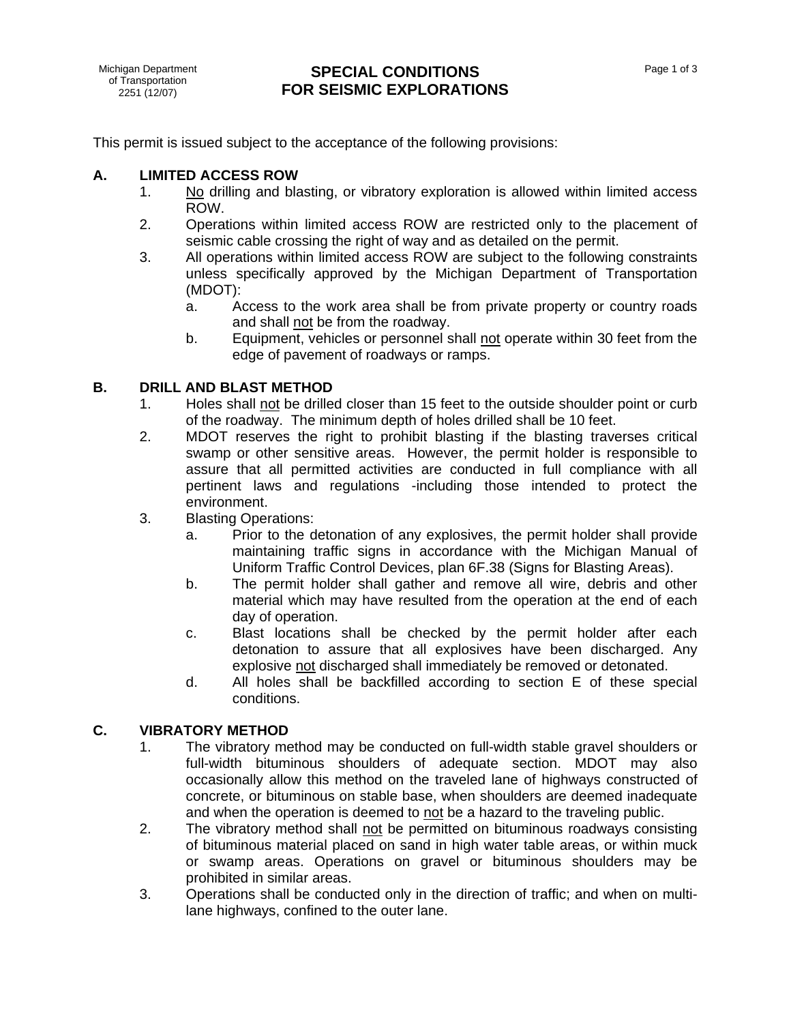Michigan Department of Transportation 2251 (12/07)

# **SPECIAL CONDITIONS FOR SEISMIC EXPLORATIONS**

This permit is issued subject to the acceptance of the following provisions:

# **A. LIMITED ACCESS ROW**

- 1. No drilling and blasting, or vibratory exploration is allowed within limited access ROW.
- 2. Operations within limited access ROW are restricted only to the placement of seismic cable crossing the right of way and as detailed on the permit.
- 3. All operations within limited access ROW are subject to the following constraints unless specifically approved by the Michigan Department of Transportation (MDOT):
	- a. Access to the work area shall be from private property or country roads and shall not be from the roadway.
	- b. Equipment, vehicles or personnel shall not operate within 30 feet from the edge of pavement of roadways or ramps.

## **B. DRILL AND BLAST METHOD**

- 1. Holes shall not be drilled closer than 15 feet to the outside shoulder point or curb of the roadway. The minimum depth of holes drilled shall be 10 feet.
- 2. MDOT reserves the right to prohibit blasting if the blasting traverses critical swamp or other sensitive areas. However, the permit holder is responsible to assure that all permitted activities are conducted in full compliance with all pertinent laws and regulations -including those intended to protect the environment.
- 3. Blasting Operations:
	- a. Prior to the detonation of any explosives, the permit holder shall provide maintaining traffic signs in accordance with the Michigan Manual of Uniform Traffic Control Devices, plan 6F.38 (Signs for Blasting Areas).
	- b. The permit holder shall gather and remove all wire, debris and other material which may have resulted from the operation at the end of each day of operation.
	- c. Blast locations shall be checked by the permit holder after each detonation to assure that all explosives have been discharged. Any explosive not discharged shall immediately be removed or detonated.
	- d. All holes shall be backfilled according to section E of these special conditions.

### **C. VIBRATORY METHOD**

- 1. The vibratory method may be conducted on full-width stable gravel shoulders or full-width bituminous shoulders of adequate section. MDOT may also occasionally allow this method on the traveled lane of highways constructed of concrete, or bituminous on stable base, when shoulders are deemed inadequate and when the operation is deemed to not be a hazard to the traveling public.
- 2. The vibratory method shall not be permitted on bituminous roadways consisting of bituminous material placed on sand in high water table areas, or within muck or swamp areas. Operations on gravel or bituminous shoulders may be prohibited in similar areas.
- 3. Operations shall be conducted only in the direction of traffic; and when on multilane highways, confined to the outer lane.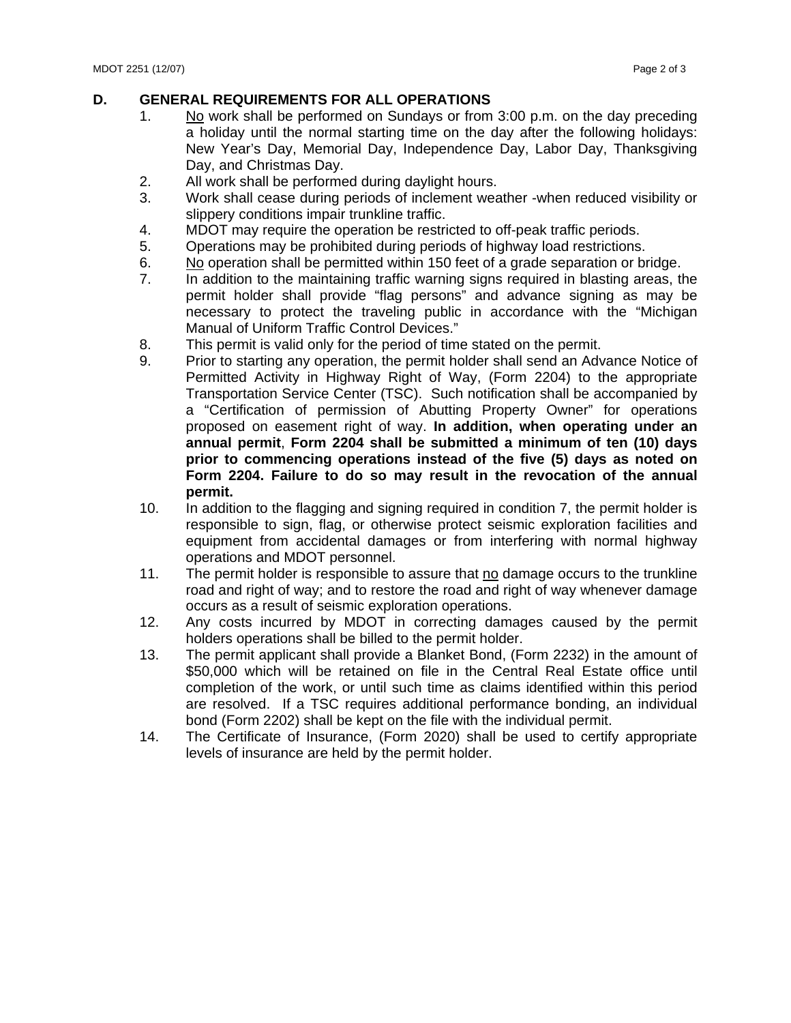## **D. GENERAL REQUIREMENTS FOR ALL OPERATIONS**

- 1. No work shall be performed on Sundays or from 3:00 p.m. on the day preceding a holiday until the normal starting time on the day after the following holidays: New Year's Day, Memorial Day, Independence Day, Labor Day, Thanksgiving Day, and Christmas Day.
- 2. All work shall be performed during daylight hours.
- 3. Work shall cease during periods of inclement weather -when reduced visibility or slippery conditions impair trunkline traffic.
- 4. MDOT may require the operation be restricted to off-peak traffic periods.
- 5. Operations may be prohibited during periods of highway load restrictions.
- 6.  $N_Q$  operation shall be permitted within 150 feet of a grade separation or bridge.<br>7.  $N_Q$  in addition to the maintaining traffic warning signs required in blasting areas. the
- In addition to the maintaining traffic warning signs required in blasting areas, the permit holder shall provide "flag persons" and advance signing as may be necessary to protect the traveling public in accordance with the "Michigan Manual of Uniform Traffic Control Devices."
- 8. This permit is valid only for the period of time stated on the permit.
- 9. Prior to starting any operation, the permit holder shall send an Advance Notice of Permitted Activity in Highway Right of Way, (Form 2204) to the appropriate Transportation Service Center (TSC). Such notification shall be accompanied by a "Certification of permission of Abutting Property Owner" for operations proposed on easement right of way. **In addition, when operating under an annual permit**, **Form 2204 shall be submitted a minimum of ten (10) days prior to commencing operations instead of the five (5) days as noted on Form 2204. Failure to do so may result in the revocation of the annual permit.**
- 10. In addition to the flagging and signing required in condition 7, the permit holder is responsible to sign, flag, or otherwise protect seismic exploration facilities and equipment from accidental damages or from interfering with normal highway operations and MDOT personnel.
- 11. The permit holder is responsible to assure that  $\underline{no}$  damage occurs to the trunkline road and right of way; and to restore the road and right of way whenever damage occurs as a result of seismic exploration operations.
- 12. Any costs incurred by MDOT in correcting damages caused by the permit holders operations shall be billed to the permit holder.
- 13. The permit applicant shall provide a Blanket Bond, (Form 2232) in the amount of \$50,000 which will be retained on file in the Central Real Estate office until completion of the work, or until such time as claims identified within this period are resolved. If a TSC requires additional performance bonding, an individual bond (Form 2202) shall be kept on the file with the individual permit.
- 14. The Certificate of Insurance, (Form 2020) shall be used to certify appropriate levels of insurance are held by the permit holder.